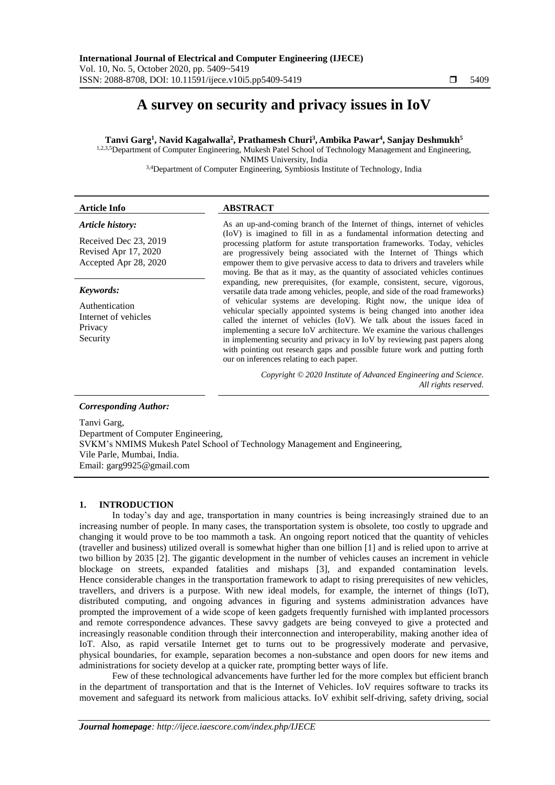# **A survey on security and privacy issues in IoV**

**Tanvi Garg<sup>1</sup> , Navid Kagalwalla<sup>2</sup> , Prathamesh Churi<sup>3</sup> , Ambika Pawar<sup>4</sup> , Sanjay Deshmukh<sup>5</sup>**

1,2,3,5 Department of Computer Engineering, Mukesh Patel School of Technology Management and Engineering, NMIMS University, India

3,4Department of Computer Engineering, Symbiosis Institute of Technology, India

#### *Article history:*

Received Dec 23, 2019 Revised Apr 17, 2020 Accepted Apr 28, 2020

*Keywords:*

Authentication Internet of vehicles Privacy Security

# **Article Info ABSTRACT**

As an up-and-coming branch of the Internet of things, internet of vehicles (IoV) is imagined to fill in as a fundamental information detecting and processing platform for astute transportation frameworks. Today, vehicles are progressively being associated with the Internet of Things which empower them to give pervasive access to data to drivers and travelers while moving. Be that as it may, as the quantity of associated vehicles continues expanding, new prerequisites, (for example, consistent, secure, vigorous, versatile data trade among vehicles, people, and side of the road frameworks) of vehicular systems are developing. Right now, the unique idea of vehicular specially appointed systems is being changed into another idea called the internet of vehicles (IoV). We talk about the issues faced in implementing a secure IoV architecture. We examine the various challenges in implementing security and privacy in IoV by reviewing past papers along with pointing out research gaps and possible future work and putting forth our on inferences relating to each paper.

> *Copyright © 2020 Institute of Advanced Engineering and Science. All rights reserved.*

#### *Corresponding Author:*

Tanvi Garg,

Department of Computer Engineering, SVKM's NMIMS Mukesh Patel School of Technology Management and Engineering, Vile Parle, Mumbai, India. Email: [garg9925@gmail.com](mailto:garg9925@gmail.com)

# **1. INTRODUCTION**

In today's day and age, transportation in many countries is being increasingly strained due to an increasing number of people. In many cases, the transportation system is obsolete, too costly to upgrade and changing it would prove to be too mammoth a task. An ongoing report noticed that the quantity of vehicles (traveller and business) utilized overall is somewhat higher than one billion [1] and is relied upon to arrive at two billion by 2035 [2]. The gigantic development in the number of vehicles causes an increment in vehicle blockage on streets, expanded fatalities and mishaps [3], and expanded contamination levels. Hence considerable changes in the transportation framework to adapt to rising prerequisites of new vehicles, travellers, and drivers is a purpose. With new ideal models, for example, the internet of things (IoT), distributed computing, and ongoing advances in figuring and systems administration advances have prompted the improvement of a wide scope of keen gadgets frequently furnished with implanted processors and remote correspondence advances. These savvy gadgets are being conveyed to give a protected and increasingly reasonable condition through their interconnection and interoperability, making another idea of IoT. Also, as rapid versatile Internet get to turns out to be progressively moderate and pervasive, physical boundaries, for example, separation becomes a non-substance and open doors for new items and administrations for society develop at a quicker rate, prompting better ways of life.

Few of these technological advancements have further led for the more complex but efficient branch in the department of transportation and that is the Internet of Vehicles. IoV requires software to tracks its movement and safeguard its network from malicious attacks. IoV exhibit self-driving, safety driving, social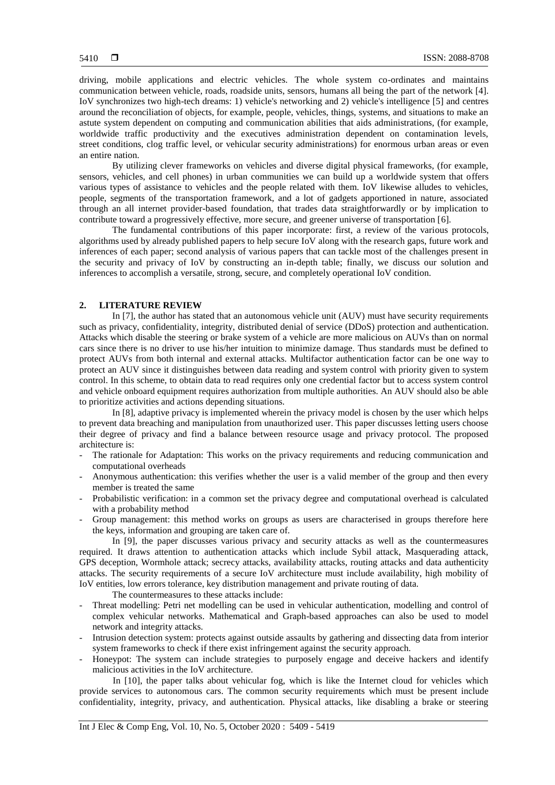driving, mobile applications and electric vehicles. The whole system co-ordinates and maintains communication between vehicle, roads, roadside units, sensors, humans all being the part of the network [4]. IoV synchronizes two high-tech dreams: 1) vehicle's networking and 2) vehicle's intelligence [5] and centres around the reconciliation of objects, for example, people, vehicles, things, systems, and situations to make an astute system dependent on computing and communication abilities that aids administrations, (for example, worldwide traffic productivity and the executives administration dependent on contamination levels, street conditions, clog traffic level, or vehicular security administrations) for enormous urban areas or even an entire nation.

By utilizing clever frameworks on vehicles and diverse digital physical frameworks, (for example, sensors, vehicles, and cell phones) in urban communities we can build up a worldwide system that offers various types of assistance to vehicles and the people related with them. IoV likewise alludes to vehicles, people, segments of the transportation framework, and a lot of gadgets apportioned in nature, associated through an all internet provider-based foundation, that trades data straightforwardly or by implication to contribute toward a progressively effective, more secure, and greener universe of transportation [6].

The fundamental contributions of this paper incorporate: first, a review of the various protocols, algorithms used by already published papers to help secure IoV along with the research gaps, future work and inferences of each paper; second analysis of various papers that can tackle most of the challenges present in the security and privacy of IoV by constructing an in-depth table; finally, we discuss our solution and inferences to accomplish a versatile, strong, secure, and completely operational IoV condition.

# **2. LITERATURE REVIEW**

In [7], the author has stated that an autonomous vehicle unit (AUV) must have security requirements such as privacy, confidentiality, integrity, distributed denial of service (DDoS) protection and authentication. Attacks which disable the steering or brake system of a vehicle are more malicious on AUVs than on normal cars since there is no driver to use his/her intuition to minimize damage. Thus standards must be defined to protect AUVs from both internal and external attacks. Multifactor authentication factor can be one way to protect an AUV since it distinguishes between data reading and system control with priority given to system control. In this scheme, to obtain data to read requires only one credential factor but to access system control and vehicle onboard equipment requires authorization from multiple authorities. An AUV should also be able to prioritize activities and actions depending situations.

In [8], adaptive privacy is implemented wherein the privacy model is chosen by the user which helps to prevent data breaching and manipulation from unauthorized user. This paper discusses letting users choose their degree of privacy and find a balance between resource usage and privacy protocol. The proposed architecture is:

- The rationale for Adaptation: This works on the privacy requirements and reducing communication and computational overheads
- Anonymous authentication: this verifies whether the user is a valid member of the group and then every member is treated the same
- Probabilistic verification: in a common set the privacy degree and computational overhead is calculated with a probability method
- Group management: this method works on groups as users are characterised in groups therefore here the keys, information and grouping are taken care of.

In [9], the paper discusses various privacy and security attacks as well as the countermeasures required. It draws attention to authentication attacks which include Sybil attack, Masquerading attack, GPS deception, Wormhole attack; secrecy attacks, availability attacks, routing attacks and data authenticity attacks. The security requirements of a secure IoV architecture must include availability, high mobility of IoV entities, low errors tolerance, key distribution management and private routing of data.

The countermeasures to these attacks include:

- Threat modelling: Petri net modelling can be used in vehicular authentication, modelling and control of complex vehicular networks. Mathematical and Graph-based approaches can also be used to model network and integrity attacks.
- Intrusion detection system: protects against outside assaults by gathering and dissecting data from interior system frameworks to check if there exist infringement against the security approach.
- Honeypot: The system can include strategies to purposely engage and deceive hackers and identify malicious activities in the IoV architecture.

In [10], the paper talks about vehicular fog, which is like the Internet cloud for vehicles which provide services to autonomous cars. The common security requirements which must be present include confidentiality, integrity, privacy, and authentication. Physical attacks, like disabling a brake or steering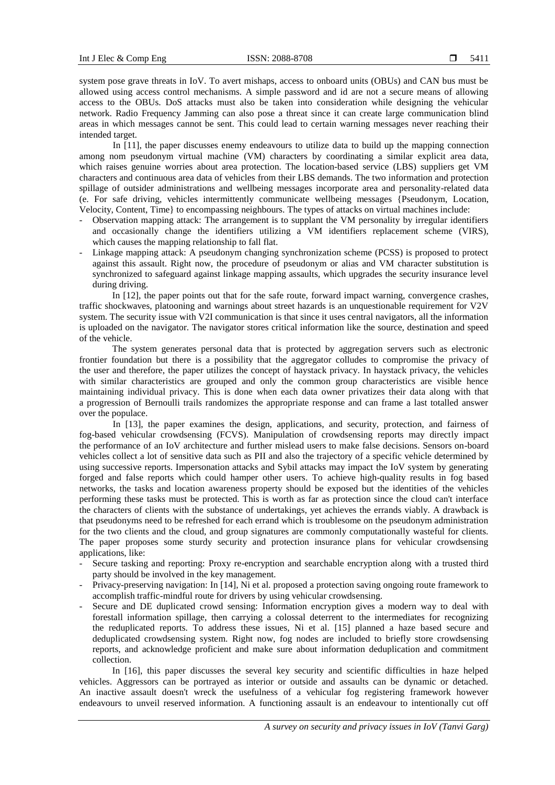system pose grave threats in IoV. To avert mishaps, access to onboard units (OBUs) and CAN bus must be allowed using access control mechanisms. A simple password and id are not a secure means of allowing access to the OBUs. DoS attacks must also be taken into consideration while designing the vehicular network. Radio Frequency Jamming can also pose a threat since it can create large communication blind areas in which messages cannot be sent. This could lead to certain warning messages never reaching their intended target.

In [11], the paper discusses enemy endeavours to utilize data to build up the mapping connection among nom pseudonym virtual machine (VM) characters by coordinating a similar explicit area data, which raises genuine worries about area protection. The location-based service (LBS) suppliers get VM characters and continuous area data of vehicles from their LBS demands. The two information and protection spillage of outsider administrations and wellbeing messages incorporate area and personality-related data (e. For safe driving, vehicles intermittently communicate wellbeing messages {Pseudonym, Location, Velocity, Content, Time} to encompassing neighbours. The types of attacks on virtual machines include:

- Observation mapping attack: The arrangement is to supplant the VM personality by irregular identifiers and occasionally change the identifiers utilizing a VM identifiers replacement scheme (VIRS), which causes the mapping relationship to fall flat.
- Linkage mapping attack: A pseudonym changing synchronization scheme (PCSS) is proposed to protect against this assault. Right now, the procedure of pseudonym or alias and VM character substitution is synchronized to safeguard against linkage mapping assaults, which upgrades the security insurance level during driving.

In [12], the paper points out that for the safe route, forward impact warning, convergence crashes, traffic shockwaves, platooning and warnings about street hazards is an unquestionable requirement for V2V system. The security issue with V2I communication is that since it uses central navigators, all the information is uploaded on the navigator. The navigator stores critical information like the source, destination and speed of the vehicle.

The system generates personal data that is protected by aggregation servers such as electronic frontier foundation but there is a possibility that the aggregator colludes to compromise the privacy of the user and therefore, the paper utilizes the concept of haystack privacy. In haystack privacy, the vehicles with similar characteristics are grouped and only the common group characteristics are visible hence maintaining individual privacy. This is done when each data owner privatizes their data along with that a progression of Bernoulli trails randomizes the appropriate response and can frame a last totalled answer over the populace.

In [13], the paper examines the design, applications, and security, protection, and fairness of fog-based vehicular crowdsensing (FCVS). Manipulation of crowdsensing reports may directly impact the performance of an IoV architecture and further mislead users to make false decisions. Sensors on-board vehicles collect a lot of sensitive data such as PII and also the trajectory of a specific vehicle determined by using successive reports. Impersonation attacks and Sybil attacks may impact the IoV system by generating forged and false reports which could hamper other users. To achieve high-quality results in fog based networks, the tasks and location awareness property should be exposed but the identities of the vehicles performing these tasks must be protected. This is worth as far as protection since the cloud can't interface the characters of clients with the substance of undertakings, yet achieves the errands viably. A drawback is that pseudonyms need to be refreshed for each errand which is troublesome on the pseudonym administration for the two clients and the cloud, and group signatures are commonly computationally wasteful for clients. The paper proposes some sturdy security and protection insurance plans for vehicular crowdsensing applications, like:

- Secure tasking and reporting: Proxy re-encryption and searchable encryption along with a trusted third party should be involved in the key management.
- Privacy-preserving navigation: In [14], Ni et al. proposed a protection saving ongoing route framework to accomplish traffic-mindful route for drivers by using vehicular crowdsensing.
- Secure and DE duplicated crowd sensing: Information encryption gives a modern way to deal with forestall information spillage, then carrying a colossal deterrent to the intermediates for recognizing the reduplicated reports. To address these issues, Ni et al. [15] planned a haze based secure and deduplicated crowdsensing system. Right now, fog nodes are included to briefly store crowdsensing reports, and acknowledge proficient and make sure about information deduplication and commitment collection.

In [16], this paper discusses the several key security and scientific difficulties in haze helped vehicles. Aggressors can be portrayed as interior or outside and assaults can be dynamic or detached. An inactive assault doesn't wreck the usefulness of a vehicular fog registering framework however endeavours to unveil reserved information. A functioning assault is an endeavour to intentionally cut off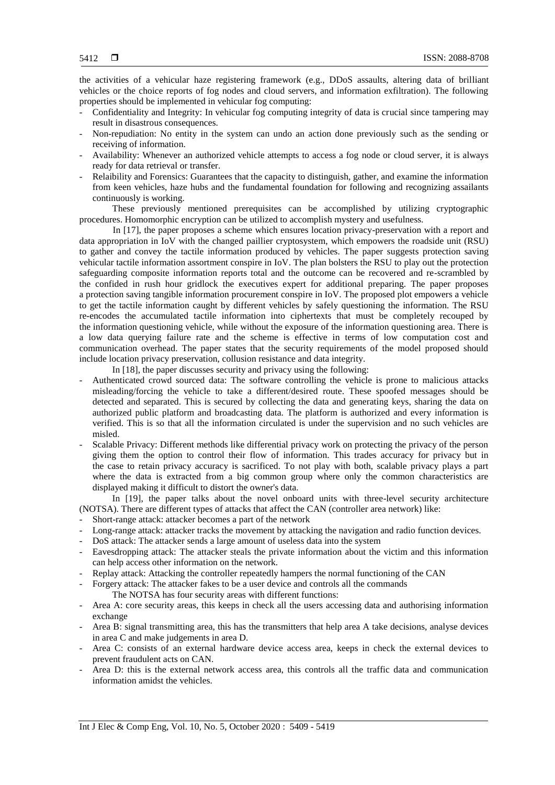the activities of a vehicular haze registering framework (e.g., DDoS assaults, altering data of brilliant vehicles or the choice reports of fog nodes and cloud servers, and information exfiltration). The following properties should be implemented in vehicular fog computing:

- Confidentiality and Integrity: In vehicular fog computing integrity of data is crucial since tampering may result in disastrous consequences.
- Non-repudiation: No entity in the system can undo an action done previously such as the sending or receiving of information.
- Availability: Whenever an authorized vehicle attempts to access a fog node or cloud server, it is always ready for data retrieval or transfer.
- Relaibility and Forensics: Guarantees that the capacity to distinguish, gather, and examine the information from keen vehicles, haze hubs and the fundamental foundation for following and recognizing assailants continuously is working.

These previously mentioned prerequisites can be accomplished by utilizing cryptographic procedures. Homomorphic encryption can be utilized to accomplish mystery and usefulness.

In [17], the paper proposes a scheme which ensures location privacy-preservation with a report and data appropriation in IoV with the changed paillier cryptosystem, which empowers the roadside unit (RSU) to gather and convey the tactile information produced by vehicles. The paper suggests protection saving vehicular tactile information assortment conspire in IoV. The plan bolsters the RSU to play out the protection safeguarding composite information reports total and the outcome can be recovered and re-scrambled by the confided in rush hour gridlock the executives expert for additional preparing. The paper proposes a protection saving tangible information procurement conspire in IoV. The proposed plot empowers a vehicle to get the tactile information caught by different vehicles by safely questioning the information. The RSU re-encodes the accumulated tactile information into ciphertexts that must be completely recouped by the information questioning vehicle, while without the exposure of the information questioning area. There is a low data querying failure rate and the scheme is effective in terms of low computation cost and communication overhead. The paper states that the security requirements of the model proposed should include location privacy preservation, collusion resistance and data integrity.

In [18], the paper discusses security and privacy using the following:

- Authenticated crowd sourced data: The software controlling the vehicle is prone to malicious attacks misleading/forcing the vehicle to take a different/desired route. These spoofed messages should be detected and separated. This is secured by collecting the data and generating keys, sharing the data on authorized public platform and broadcasting data. The platform is authorized and every information is verified. This is so that all the information circulated is under the supervision and no such vehicles are misled.
- Scalable Privacy: Different methods like differential privacy work on protecting the privacy of the person giving them the option to control their flow of information. This trades accuracy for privacy but in the case to retain privacy accuracy is sacrificed. To not play with both, scalable privacy plays a part where the data is extracted from a big common group where only the common characteristics are displayed making it difficult to distort the owner's data.

In [19], the paper talks about the novel onboard units with three-level security architecture (NOTSA). There are different types of attacks that affect the CAN (controller area network) like:

- Short-range attack: attacker becomes a part of the network
- Long-range attack: attacker tracks the movement by attacking the navigation and radio function devices.
- DoS attack: The attacker sends a large amount of useless data into the system
- Eavesdropping attack: The attacker steals the private information about the victim and this information can help access other information on the network.
- Replay attack: Attacking the controller repeatedly hampers the normal functioning of the CAN
- Forgery attack: The attacker fakes to be a user device and controls all the commands

The NOTSA has four security areas with different functions:

- Area A: core security areas, this keeps in check all the users accessing data and authorising information exchange
- Area B: signal transmitting area, this has the transmitters that help area A take decisions, analyse devices in area C and make judgements in area D.
- Area C: consists of an external hardware device access area, keeps in check the external devices to prevent fraudulent acts on CAN.
- Area D: this is the external network access area, this controls all the traffic data and communication information amidst the vehicles.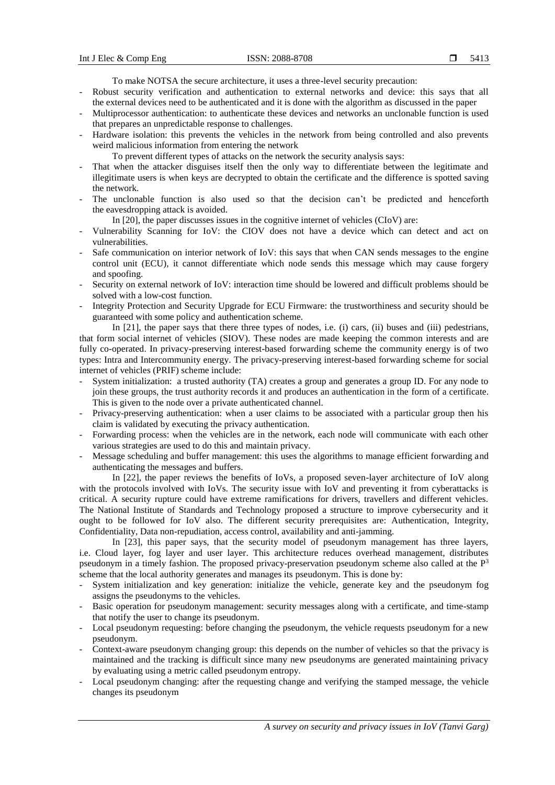To make NOTSA the secure architecture, it uses a three-level security precaution:

- Robust security verification and authentication to external networks and device: this says that all the external devices need to be authenticated and it is done with the algorithm as discussed in the paper
- Multiprocessor authentication: to authenticate these devices and networks an unclonable function is used that prepares an unpredictable response to challenges.
- Hardware isolation: this prevents the vehicles in the network from being controlled and also prevents weird malicious information from entering the network
	- To prevent different types of attacks on the network the security analysis says:
- That when the attacker disguises itself then the only way to differentiate between the legitimate and illegitimate users is when keys are decrypted to obtain the certificate and the difference is spotted saving the network.
- The unclonable function is also used so that the decision can't be predicted and henceforth the eavesdropping attack is avoided.
	- In [20], the paper discusses issues in the cognitive internet of vehicles (CIoV) are:
- Vulnerability Scanning for IoV: the CIOV does not have a device which can detect and act on vulnerabilities.
- Safe communication on interior network of IoV: this says that when CAN sends messages to the engine control unit (ECU), it cannot differentiate which node sends this message which may cause forgery and spoofing.
- Security on external network of IoV: interaction time should be lowered and difficult problems should be solved with a low-cost function.
- Integrity Protection and Security Upgrade for ECU Firmware: the trustworthiness and security should be guaranteed with some policy and authentication scheme.

In [21], the paper says that there three types of nodes, i.e. (i) cars, (ii) buses and (iii) pedestrians, that form social internet of vehicles (SIOV). These nodes are made keeping the common interests and are fully co-operated. In privacy-preserving interest-based forwarding scheme the community energy is of two types: Intra and Intercommunity energy. The privacy-preserving interest-based forwarding scheme for social internet of vehicles (PRIF) scheme include:

- System initialization: a trusted authority (TA) creates a group and generates a group ID. For any node to join these groups, the trust authority records it and produces an authentication in the form of a certificate. This is given to the node over a private authenticated channel.
- Privacy-preserving authentication: when a user claims to be associated with a particular group then his claim is validated by executing the privacy authentication.
- Forwarding process: when the vehicles are in the network, each node will communicate with each other various strategies are used to do this and maintain privacy.
- Message scheduling and buffer management: this uses the algorithms to manage efficient forwarding and authenticating the messages and buffers.

In [22], the paper reviews the benefits of IoVs, a proposed seven-layer architecture of IoV along with the protocols involved with IoVs. The security issue with IoV and preventing it from cyberattacks is critical. A security rupture could have extreme ramifications for drivers, travellers and different vehicles. The National Institute of Standards and Technology proposed a structure to improve cybersecurity and it ought to be followed for IoV also. The different security prerequisites are: Authentication, Integrity, Confidentiality, Data non-repudiation, access control, availability and anti-jamming.

In [23], this paper says, that the security model of pseudonym management has three layers, i.e. Cloud layer, fog layer and user layer. This architecture reduces overhead management, distributes pseudonym in a timely fashion. The proposed privacy-preservation pseudonym scheme also called at the P<sup>3</sup> scheme that the local authority generates and manages its pseudonym. This is done by:

- System initialization and key generation: initialize the vehicle, generate key and the pseudonym fog assigns the pseudonyms to the vehicles.
- Basic operation for pseudonym management: security messages along with a certificate, and time-stamp that notify the user to change its pseudonym.
- Local pseudonym requesting: before changing the pseudonym, the vehicle requests pseudonym for a new pseudonym.
- Context-aware pseudonym changing group: this depends on the number of vehicles so that the privacy is maintained and the tracking is difficult since many new pseudonyms are generated maintaining privacy by evaluating using a metric called pseudonym entropy.
- Local pseudonym changing: after the requesting change and verifying the stamped message, the vehicle changes its pseudonym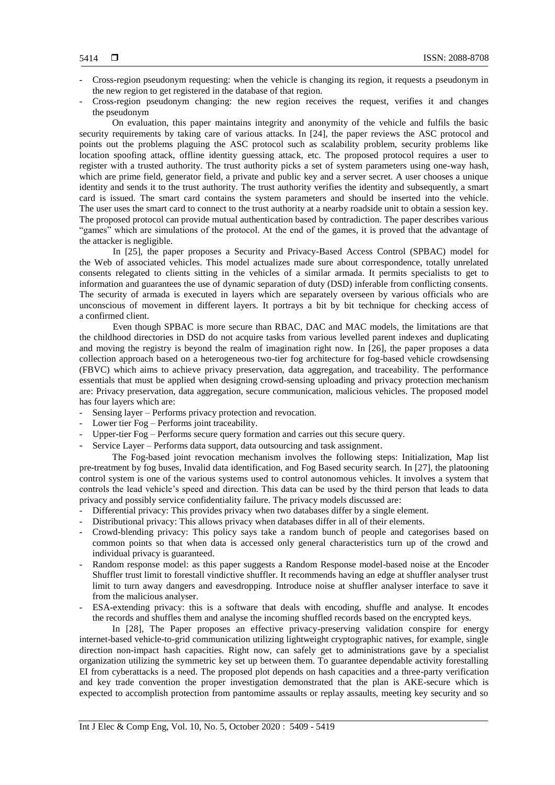- Cross-region pseudonym requesting: when the vehicle is changing its region, it requests a pseudonym in the new region to get registered in the database of that region.
- Cross-region pseudonym changing: the new region receives the request, verifies it and changes the pseudonym

On evaluation, this paper maintains integrity and anonymity of the vehicle and fulfils the basic security requirements by taking care of various attacks. In [24], the paper reviews the ASC protocol and points out the problems plaguing the ASC protocol such as scalability problem, security problems like location spoofing attack, offline identity guessing attack, etc. The proposed protocol requires a user to register with a trusted authority. The trust authority picks a set of system parameters using one-way hash, which are prime field, generator field, a private and public key and a server secret. A user chooses a unique identity and sends it to the trust authority. The trust authority verifies the identity and subsequently, a smart card is issued. The smart card contains the system parameters and should be inserted into the vehicle. The user uses the smart card to connect to the trust authority at a nearby roadside unit to obtain a session key. The proposed protocol can provide mutual authentication based by contradiction. The paper describes various "games" which are simulations of the protocol. At the end of the games, it is proved that the advantage of the attacker is negligible.

In [25], the paper proposes a Security and Privacy-Based Access Control (SPBAC) model for the Web of associated vehicles. This model actualizes made sure about correspondence, totally unrelated consents relegated to clients sitting in the vehicles of a similar armada. It permits specialists to get to information and guarantees the use of dynamic separation of duty (DSD) inferable from conflicting consents. The security of armada is executed in layers which are separately overseen by various officials who are unconscious of movement in different layers. It portrays a bit by bit technique for checking access of a confirmed client.

Even though SPBAC is more secure than RBAC, DAC and MAC models, the limitations are that the childhood directories in DSD do not acquire tasks from various levelled parent indexes and duplicating and moving the registry is beyond the realm of imagination right now. In [26], the paper proposes a data collection approach based on a heterogeneous two-tier fog architecture for fog-based vehicle crowdsensing (FBVC) which aims to achieve privacy preservation, data aggregation, and traceability. The performance essentials that must be applied when designing crowd-sensing uploading and privacy protection mechanism are: Privacy preservation, data aggregation, secure communication, malicious vehicles. The proposed model has four layers which are:

- Sensing layer Performs privacy protection and revocation.
- Lower tier Fog Performs joint traceability.
- Upper-tier Fog Performs secure query formation and carries out this secure query.
- Service Layer Performs data support, data outsourcing and task assignment.

The Fog-based joint revocation mechanism involves the following steps: Initialization, Map list pre-treatment by fog buses, Invalid data identification, and Fog Based security search. In [27], the platooning control system is one of the various systems used to control autonomous vehicles. It involves a system that controls the lead vehicle's speed and direction. This data can be used by the third person that leads to data privacy and possibly service confidentiality failure. The privacy models discussed are:

- Differential privacy: This provides privacy when two databases differ by a single element.
- Distributional privacy: This allows privacy when databases differ in all of their elements.
- Crowd-blending privacy: This policy says take a random bunch of people and categorises based on common points so that when data is accessed only general characteristics turn up of the crowd and individual privacy is guaranteed.
- Random response model: as this paper suggests a Random Response model-based noise at the Encoder Shuffler trust limit to forestall vindictive shuffler. It recommends having an edge at shuffler analyser trust limit to turn away dangers and eavesdropping. Introduce noise at shuffler analyser interface to save it from the malicious analyser.
- ESA-extending privacy: this is a software that deals with encoding, shuffle and analyse. It encodes the records and shuffles them and analyse the incoming shuffled records based on the encrypted keys.

In [28], The Paper proposes an effective privacy-preserving validation conspire for energy internet-based vehicle-to-grid communication utilizing lightweight cryptographic natives, for example, single direction non-impact hash capacities. Right now, can safely get to administrations gave by a specialist organization utilizing the symmetric key set up between them. To guarantee dependable activity forestalling EI from cyberattacks is a need. The proposed plot depends on hash capacities and a three-party verification and key trade convention the proper investigation demonstrated that the plan is AKE-secure which is expected to accomplish protection from pantomime assaults or replay assaults, meeting key security and so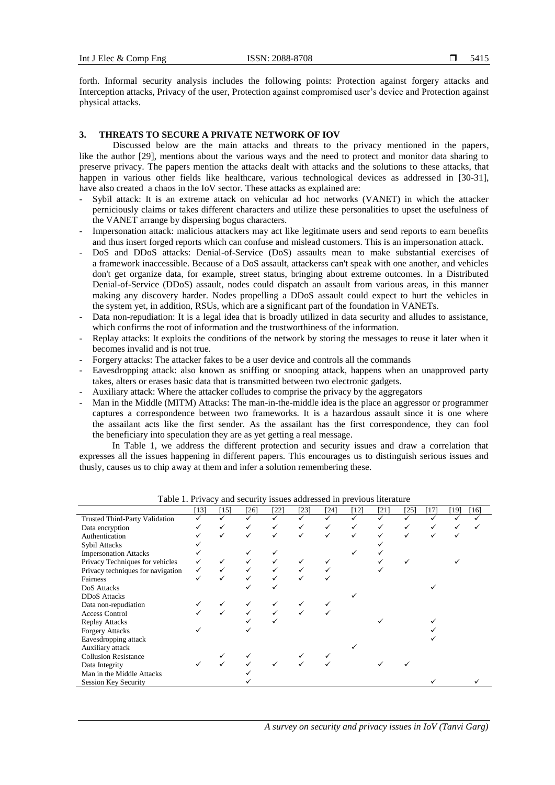forth. Informal security analysis includes the following points: Protection against forgery attacks and Interception attacks, Privacy of the user, Protection against compromised user's device and Protection against physical attacks.

# **3. THREATS TO SECURE A PRIVATE NETWORK OF IOV**

Discussed below are the main attacks and threats to the privacy mentioned in the papers, like the author [29], mentions about the various ways and the need to protect and monitor data sharing to preserve privacy. The papers mention the attacks dealt with attacks and the solutions to these attacks, that happen in various other fields like healthcare, various technological devices as addressed in [30-31], have also created a chaos in the IoV sector. These attacks as explained are:

- Sybil attack: It is an extreme attack on vehicular ad hoc networks (VANET) in which the attacker perniciously claims or takes different characters and utilize these personalities to upset the usefulness of the VANET arrange by dispersing bogus characters.
- Impersonation attack: malicious attackers may act like legitimate users and send reports to earn benefits and thus insert forged reports which can confuse and mislead customers. This is an impersonation attack.
- DoS and DDoS attacks: Denial-of-Service (DoS) assaults mean to make substantial exercises of a framework inaccessible. Because of a DoS assault, attackerss can't speak with one another, and vehicles don't get organize data, for example, street status, bringing about extreme outcomes. In a Distributed Denial-of-Service (DDoS) assault, nodes could dispatch an assault from various areas, in this manner making any discovery harder. Nodes propelling a DDoS assault could expect to hurt the vehicles in the system yet, in addition, RSUs, which are a significant part of the foundation in VANETs.
- Data non-repudiation: It is a legal idea that is broadly utilized in data security and alludes to assistance, which confirms the root of information and the trustworthiness of the information.
- Replay attacks: It exploits the conditions of the network by storing the messages to reuse it later when it becomes invalid and is not true.
- Forgery attacks: The attacker fakes to be a user device and controls all the commands
- Eavesdropping attack: also known as sniffing or snooping attack, happens when an unapproved party takes, alters or erases basic data that is transmitted between two electronic gadgets.
- Auxiliary attack: Where the attacker colludes to comprise the privacy by the aggregators
- Man in the Middle (MITM) Attacks: The man-in-the-middle idea is the place an aggressor or programmer captures a correspondence between two frameworks. It is a hazardous assault since it is one where the assailant acts like the first sender. As the assailant has the first correspondence, they can fool the beneficiary into speculation they are as yet getting a real message.

In Table 1, we address the different protection and security issues and draw a correlation that expresses all the issues happening in different papers. This encourages us to distinguish serious issues and thusly, causes us to chip away at them and infer a solution remembering these.

|                                   | $[13]$ | [15] | $[26]$ | $[22]$ | [23] | [24] | [12] | [21] | $[25]$ | [17] | [19] | $[16]$ |
|-----------------------------------|--------|------|--------|--------|------|------|------|------|--------|------|------|--------|
| Trusted Third-Party Validation    |        |      |        |        |      |      |      |      |        |      |      |        |
| Data encryption                   |        |      |        |        |      |      |      |      |        |      |      |        |
| Authentication                    |        |      |        |        |      |      |      |      |        |      |      |        |
| Sybil Attacks                     |        |      |        |        |      |      |      |      |        |      |      |        |
| <b>Impersonation Attacks</b>      |        |      |        |        |      |      |      |      |        |      |      |        |
| Privacy Techniques for vehicles   |        |      |        |        |      |      |      |      |        |      |      |        |
| Privacy techniques for navigation |        |      |        |        |      |      |      |      |        |      |      |        |
| Fairness                          |        |      |        |        |      |      |      |      |        |      |      |        |
| DoS Attacks                       |        |      |        |        |      |      |      |      |        |      |      |        |
| <b>DDoS</b> Attacks               |        |      |        |        |      |      |      |      |        |      |      |        |
| Data non-repudiation              |        |      |        |        |      |      |      |      |        |      |      |        |
| <b>Access Control</b>             |        |      |        |        |      |      |      |      |        |      |      |        |
| <b>Replay Attacks</b>             |        |      |        |        |      |      |      |      |        |      |      |        |
| <b>Forgery Attacks</b>            |        |      |        |        |      |      |      |      |        |      |      |        |
| Eavesdropping attack              |        |      |        |        |      |      |      |      |        |      |      |        |
| Auxiliary attack                  |        |      |        |        |      |      |      |      |        |      |      |        |
| <b>Collusion Resistance</b>       |        |      |        |        |      |      |      |      |        |      |      |        |
| Data Integrity                    |        |      |        |        |      |      |      |      |        |      |      |        |
| Man in the Middle Attacks         |        |      |        |        |      |      |      |      |        |      |      |        |
| <b>Session Key Security</b>       |        |      |        |        |      |      |      |      |        |      |      |        |

Table 1. Privacy and security issues addressed in previous literature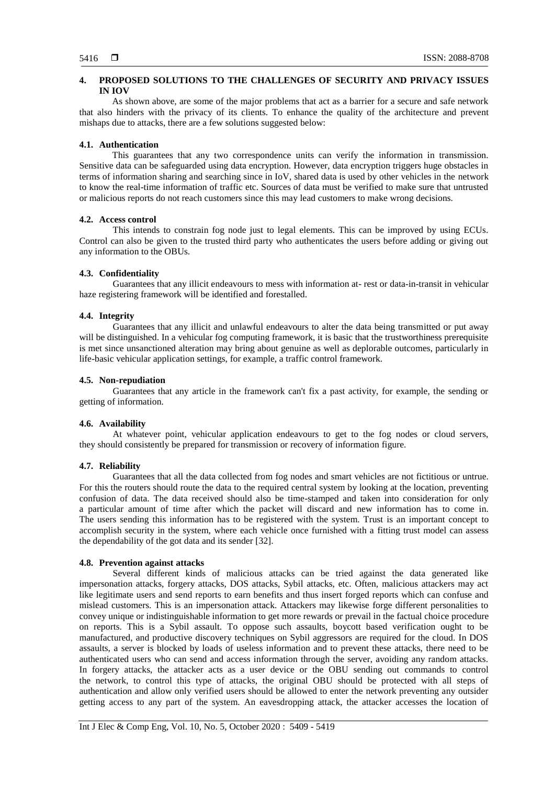# **4. PROPOSED SOLUTIONS TO THE CHALLENGES OF SECURITY AND PRIVACY ISSUES IN IOV**

As shown above, are some of the major problems that act as a barrier for a secure and safe network that also hinders with the privacy of its clients. To enhance the quality of the architecture and prevent mishaps due to attacks, there are a few solutions suggested below:

## **4.1. Authentication**

This guarantees that any two correspondence units can verify the information in transmission. Sensitive data can be safeguarded using data encryption. However, data encryption triggers huge obstacles in terms of information sharing and searching since in IoV, shared data is used by other vehicles in the network to know the real-time information of traffic etc. Sources of data must be verified to make sure that untrusted or malicious reports do not reach customers since this may lead customers to make wrong decisions.

## **4.2. Access control**

This intends to constrain fog node just to legal elements. This can be improved by using ECUs. Control can also be given to the trusted third party who authenticates the users before adding or giving out any information to the OBUs.

# **4.3. Confidentiality**

Guarantees that any illicit endeavours to mess with information at- rest or data-in-transit in vehicular haze registering framework will be identified and forestalled.

#### **4.4. Integrity**

Guarantees that any illicit and unlawful endeavours to alter the data being transmitted or put away will be distinguished. In a vehicular fog computing framework, it is basic that the trustworthiness prerequisite is met since unsanctioned alteration may bring about genuine as well as deplorable outcomes, particularly in life-basic vehicular application settings, for example, a traffic control framework.

#### **4.5. Non-repudiation**

Guarantees that any article in the framework can't fix a past activity, for example, the sending or getting of information.

## **4.6. Availability**

At whatever point, vehicular application endeavours to get to the fog nodes or cloud servers, they should consistently be prepared for transmission or recovery of information figure.

# **4.7. Reliability**

Guarantees that all the data collected from fog nodes and smart vehicles are not fictitious or untrue. For this the routers should route the data to the required central system by looking at the location, preventing confusion of data. The data received should also be time-stamped and taken into consideration for only a particular amount of time after which the packet will discard and new information has to come in. The users sending this information has to be registered with the system. Trust is an important concept to accomplish security in the system, where each vehicle once furnished with a fitting trust model can assess the dependability of the got data and its sender [32].

#### **4.8. Prevention against attacks**

Several different kinds of malicious attacks can be tried against the data generated like impersonation attacks, forgery attacks, DOS attacks, Sybil attacks, etc. Often, malicious attackers may act like legitimate users and send reports to earn benefits and thus insert forged reports which can confuse and mislead customers. This is an impersonation attack. Attackers may likewise forge different personalities to convey unique or indistinguishable information to get more rewards or prevail in the factual choice procedure on reports. This is a Sybil assault. To oppose such assaults, boycott based verification ought to be manufactured, and productive discovery techniques on Sybil aggressors are required for the cloud. In DOS assaults, a server is blocked by loads of useless information and to prevent these attacks, there need to be authenticated users who can send and access information through the server, avoiding any random attacks. In forgery attacks, the attacker acts as a user device or the OBU sending out commands to control the network, to control this type of attacks, the original OBU should be protected with all steps of authentication and allow only verified users should be allowed to enter the network preventing any outsider getting access to any part of the system. An eavesdropping attack, the attacker accesses the location of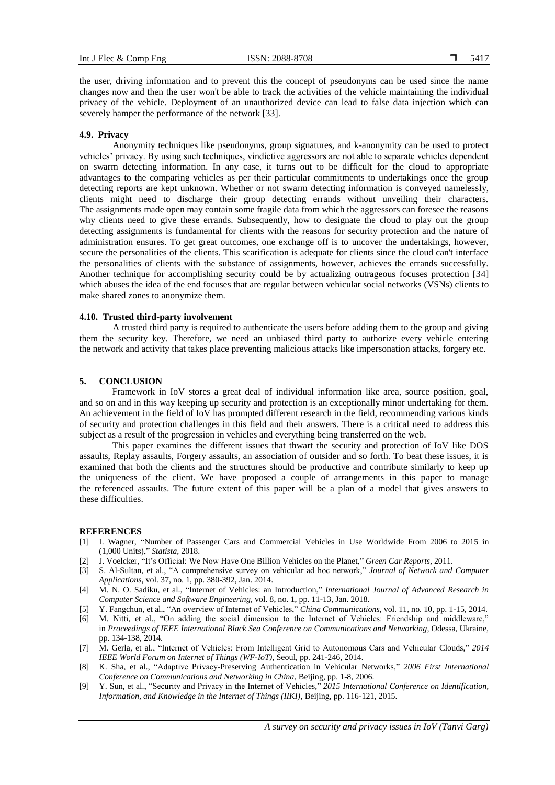the user, driving information and to prevent this the concept of pseudonyms can be used since the name changes now and then the user won't be able to track the activities of the vehicle maintaining the individual privacy of the vehicle. Deployment of an unauthorized device can lead to false data injection which can severely hamper the performance of the network [33].

#### **4.9. Privacy**

Anonymity techniques like pseudonyms, group signatures, and k-anonymity can be used to protect vehicles' privacy. By using such techniques, vindictive aggressors are not able to separate vehicles dependent on swarm detecting information. In any case, it turns out to be difficult for the cloud to appropriate advantages to the comparing vehicles as per their particular commitments to undertakings once the group detecting reports are kept unknown. Whether or not swarm detecting information is conveyed namelessly, clients might need to discharge their group detecting errands without unveiling their characters. The assignments made open may contain some fragile data from which the aggressors can foresee the reasons why clients need to give these errands. Subsequently, how to designate the cloud to play out the group detecting assignments is fundamental for clients with the reasons for security protection and the nature of administration ensures. To get great outcomes, one exchange off is to uncover the undertakings, however, secure the personalities of the clients. This scarification is adequate for clients since the cloud can't interface the personalities of clients with the substance of assignments, however, achieves the errands successfully. Another technique for accomplishing security could be by actualizing outrageous focuses protection [34] which abuses the idea of the end focuses that are regular between vehicular social networks (VSNs) clients to make shared zones to anonymize them.

#### **4.10. Trusted third-party involvement**

A trusted third party is required to authenticate the users before adding them to the group and giving them the security key. Therefore, we need an unbiased third party to authorize every vehicle entering the network and activity that takes place preventing malicious attacks like impersonation attacks, forgery etc.

### **5. CONCLUSION**

Framework in IoV stores a great deal of individual information like area, source position, goal, and so on and in this way keeping up security and protection is an exceptionally minor undertaking for them. An achievement in the field of IoV has prompted different research in the field, recommending various kinds of security and protection challenges in this field and their answers. There is a critical need to address this subject as a result of the progression in vehicles and everything being transferred on the web.

This paper examines the different issues that thwart the security and protection of IoV like DOS assaults, Replay assaults, Forgery assaults, an association of outsider and so forth. To beat these issues, it is examined that both the clients and the structures should be productive and contribute similarly to keep up the uniqueness of the client. We have proposed a couple of arrangements in this paper to manage the referenced assaults. The future extent of this paper will be a plan of a model that gives answers to these difficulties.

## **REFERENCES**

- [1] I. Wagner, "Number of Passenger Cars and Commercial Vehicles in Use Worldwide From 2006 to 2015 in (1,000 Units)," *Statista*, 2018.
- [2] J. Voelcker, "It's Official: We Now Have One Billion Vehicles on the Planet," *Green Car Reports*, 2011.
- [3] S. Al-Sultan, et al., "A comprehensive survey on vehicular ad hoc network," *Journal of Network and Computer Applications*, vol. 37, no. 1, pp. 380-392, Jan. 2014.
- [4] M. N. O. Sadiku, et al., "Internet of Vehicles: an Introduction," *International Journal of Advanced Research in Computer Science and Software Engineering,* vol. 8, no. 1, pp. 11-13, Jan. 2018.
- [5] Y. Fangchun, et al., "An overview of Internet of Vehicles," *China Communications*, vol. 11, no. 10, pp. 1-15, 2014.
- [6] M. Nitti, et al., "On adding the social dimension to the Internet of Vehicles: Friendship and middleware," in *Proceedings of IEEE International Black Sea Conference on Communications and Networking,* Odessa, Ukraine, pp. 134-138, 2014.
- [7] M. Gerla, et al., "Internet of Vehicles: From Intelligent Grid to Autonomous Cars and Vehicular Clouds," *2014 IEEE World Forum on Internet of Things (WF-IoT),* Seoul, pp. 241-246, 2014.
- [8] K. Sha, et al., "Adaptive Privacy-Preserving Authentication in Vehicular Networks," *2006 First International Conference on Communications and Networking in China*, Beijing, pp. 1-8, 2006.
- [9] Y. Sun, et al., "Security and Privacy in the Internet of Vehicles," *2015 International Conference on Identification, Information, and Knowledge in the Internet of Things (IIKI)*, Beijing, pp. 116-121, 2015.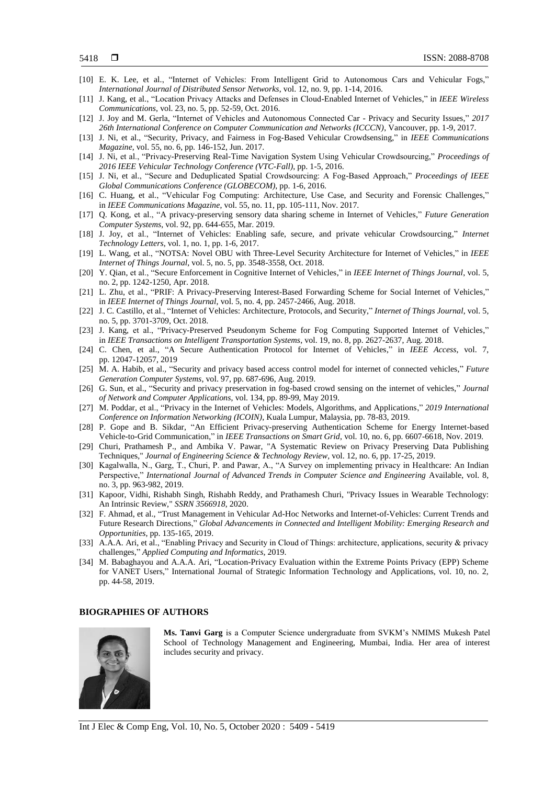- [10] E. K. Lee, et al., "Internet of Vehicles: From Intelligent Grid to Autonomous Cars and Vehicular Fogs," *International Journal of Distributed Sensor Networks*, vol. 12, no. 9, pp. 1-14, 2016.
- [11] J. Kang, et al., "Location Privacy Attacks and Defenses in Cloud-Enabled Internet of Vehicles," in *IEEE Wireless Communications*, vol. 23, no. 5, pp. 52-59, Oct. 2016.
- [12] J. Joy and M. Gerla, "Internet of Vehicles and Autonomous Connected Car Privacy and Security Issues," *2017 26th International Conference on Computer Communication and Networks (ICCCN)*, Vancouver, pp. 1-9, 2017.
- [13] J. Ni, et al., "Security, Privacy, and Fairness in Fog-Based Vehicular Crowdsensing," in *IEEE Communications Magazine*, vol. 55, no. 6, pp. 146-152, Jun. 2017.
- [14] J. Ni, et al., "Privacy-Preserving Real-Time Navigation System Using Vehicular Crowdsourcing," *Proceedings of 2016 IEEE Vehicular Technology Conference (VTC-Fall)*, pp. 1-5, 2016.
- [15] J. Ni, et al., "Secure and Deduplicated Spatial Crowdsourcing: A Fog-Based Approach," *Proceedings of IEEE Global Communications Conference (GLOBECOM)*, pp. 1-6, 2016.
- [16] C. Huang, et al., "Vehicular Fog Computing: Architecture, Use Case, and Security and Forensic Challenges," in *IEEE Communications Magazine*, vol. 55, no. 11, pp. 105-111, Nov. 2017.
- [17] Q. Kong, et al., "A privacy-preserving sensory data sharing scheme in Internet of Vehicles," *Future Generation Computer Systems*, vol. 92, pp. 644-655, Mar. 2019.
- [18] J. Joy, et al., "Internet of Vehicles: Enabling safe, secure, and private vehicular Crowdsourcing," *Internet Technology Letters*, vol. 1, no. 1, pp. 1-6, 2017.
- [19] L. Wang, et al., "NOTSA: Novel OBU with Three-Level Security Architecture for Internet of Vehicles," in *IEEE Internet of Things Journal*, vol. 5, no. 5, pp. 3548-3558, Oct. 2018.
- [20] Y. Qian, et al., "Secure Enforcement in Cognitive Internet of Vehicles," in *IEEE Internet of Things Journal*, vol. 5, no. 2, pp. 1242-1250, Apr. 2018.
- [21] L. Zhu, et al., "PRIF: A Privacy-Preserving Interest-Based Forwarding Scheme for Social Internet of Vehicles," in *IEEE Internet of Things Journal*, vol. 5, no. 4, pp. 2457-2466, Aug. 2018.
- [22] J. C. Castillo, et al., "Internet of Vehicles: Architecture, Protocols, and Security," *Internet of Things Journal*, vol. 5, no. 5, pp. 3701-3709, Oct. 2018.
- [23] J. Kang, et al., "Privacy-Preserved Pseudonym Scheme for Fog Computing Supported Internet of Vehicles," in *IEEE Transactions on Intelligent Transportation Systems*, vol. 19, no. 8, pp. 2627-2637, Aug. 2018.
- [24] C. Chen, et al., "A Secure Authentication Protocol for Internet of Vehicles," in *IEEE Access*, vol. 7, pp. 12047-12057, 2019
- [25] M. A. Habib, et al., "Security and privacy based access control model for internet of connected vehicles," *Future Generation Computer Systems*, vol. 97, pp. 687-696, Aug. 2019.
- [26] G. Sun, et al., "Security and privacy preservation in fog-based crowd sensing on the internet of vehicles," *Journal of Network and Computer Applications*, vol. 134, pp. 89-99, May 2019.
- [27] M. Poddar, et al., "Privacy in the Internet of Vehicles: Models, Algorithms, and Applications," *2019 International Conference on Information Networking (ICOIN)*, Kuala Lumpur, Malaysia, pp. 78-83, 2019.
- [28] P. Gope and B. Sikdar, "An Efficient Privacy-preserving Authentication Scheme for Energy Internet-based Vehicle-to-Grid Communication," in *IEEE Transactions on Smart Grid*, vol. 10, no. 6, pp. 6607-6618, Nov. 2019.
- [29] Churi, Prathamesh P., and Ambika V. Pawar, "A Systematic Review on Privacy Preserving Data Publishing Techniques*,*" *Journal of Engineering Science & Technology Review,* vol. 12, no. 6, pp. 17-25, 2019.
- [30] Kagalwalla, N., Garg, T., Churi, P. and Pawar, A., "A Survey on implementing privacy in Healthcare: An Indian Perspective," *International Journal of Advanced Trends in Computer Science and Engineering* Available, vol. 8, no. 3, pp. 963-982, 2019.
- [31] Kapoor, Vidhi, Rishabh Singh, Rishabh Reddy, and Prathamesh Churi, "Privacy Issues in Wearable Technology: An Intrinsic Review," *SSRN 3566918*, 2020.
- [32] F. Ahmad, et al., "Trust Management in Vehicular Ad-Hoc Networks and Internet-of-Vehicles: Current Trends and Future Research Directions," *Global Advancements in Connected and Intelligent Mobility: Emerging Research and Opportunities*, pp. 135-165, 2019.
- [33] A.A.A. Ari, et al., "Enabling Privacy and Security in Cloud of Things: architecture, applications, security & privacy challenges," *Applied Computing and Informatics*, 2019.
- [34] M. Babaghayou and A.A.A. Ari, "Location-Privacy Evaluation within the Extreme Points Privacy (EPP) Scheme for VANET Users," International Journal of Strategic Information Technology and Applications, vol. 10, no. 2, pp. 44-58, 2019.

#### **BIOGRAPHIES OF AUTHORS**



**Ms. Tanvi Garg** is a Computer Science undergraduate from SVKM's NMIMS Mukesh Patel School of Technology Management and Engineering, Mumbai, India. Her area of interest includes security and privacy.